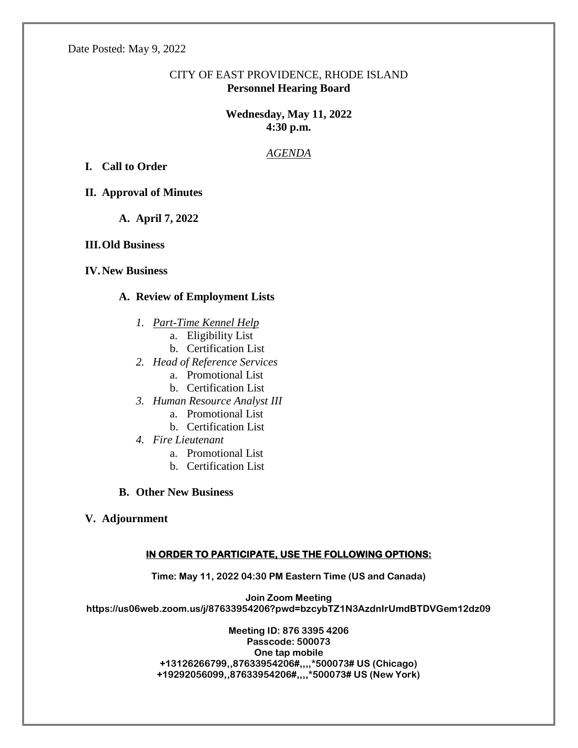Date Posted: May 9, 2022

## CITY OF EAST PROVIDENCE, RHODE ISLAND **Personnel Hearing Board**

# **Wednesday, May 11, 2022 4:30 p.m.**

## *AGENDA*

**I. Call to Order**

**II. Approval of Minutes**

**A. April 7, 2022**

**III.Old Business**

**IV.New Business**

#### **A. Review of Employment Lists**

- *1. Part-Time Kennel Help*
	- a. Eligibility List
	- b. Certification List
- *2. Head of Reference Services*
	- a. Promotional List
	- b. Certification List
- *3. Human Resource Analyst III*
	- a. Promotional List
	- b. Certification List
- *4. Fire Lieutenant*
	- a. Promotional List
	- b. Certification List
- **B. Other New Business**
- **V. Adjournment**

#### **IN ORDER TO PARTICIPATE, USE THE FOLLOWING OPTIONS:**

**Time: May 11, 2022 04:30 PM Eastern Time (US and Canada)**

**Join Zoom Meeting https://us06web.zoom.us/j/87633954206?pwd=bzcybTZ1N3AzdnIrUmdBTDVGem12dz09**

> **Meeting ID: 876 3395 4206 Passcode: 500073 One tap mobile +13126266799,,87633954206#,,,,\*500073# US (Chicago) +19292056099,,87633954206#,,,,\*500073# US (New York)**